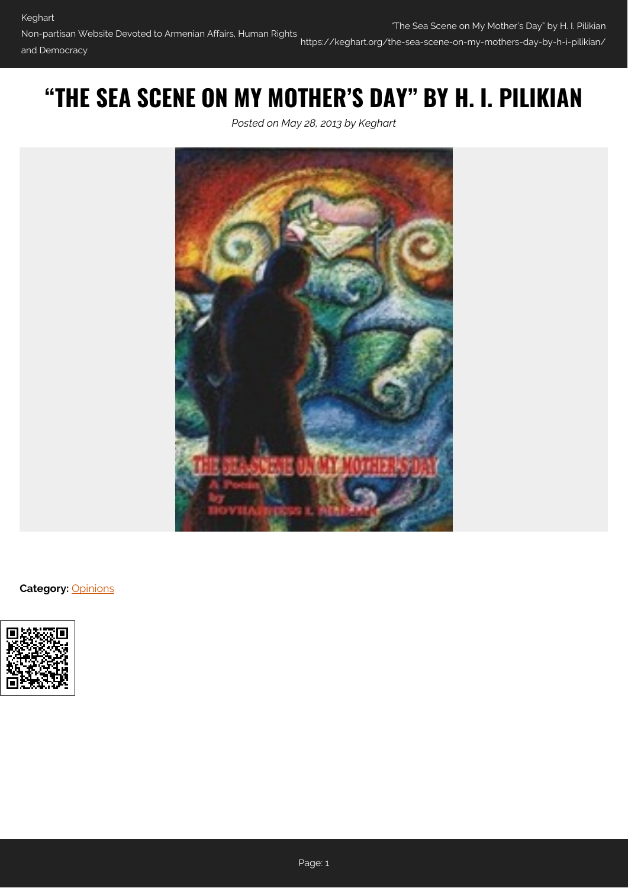# **"THE SEA SCENE ON MY MOTHER'S DAY" BY H. I. PILIKIAN**

*Posted on May 28, 2013 by Keghart*



**Category:** [Opinions](https://keghart.org/category/opinions/)

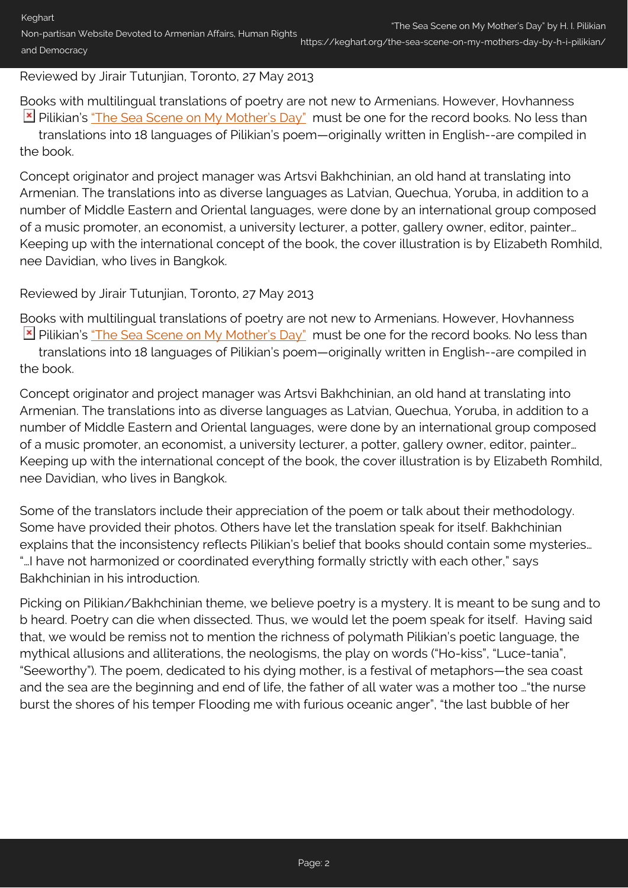### Reviewed by Jirair Tutunjian, Toronto, 27 May 2013

Books with multilingual translations of poetry are not new to Armenians. However, Hovhanness Pilikian's ["The Sea Scene on My Mother's Day"](http://pilikian.blogspot.ca/2006/04/sea-scene-on-my-mothers-day.html) must be one for the record books. No less than translations into 18 languages of Pilikian's poem—originally written in English--are compiled in the book.

Concept originator and project manager was Artsvi Bakhchinian, an old hand at translating into Armenian. The translations into as diverse languages as Latvian, Quechua, Yoruba, in addition to a number of Middle Eastern and Oriental languages, were done by an international group composed of a music promoter, an economist, a university lecturer, a potter, gallery owner, editor, painter… Keeping up with the international concept of the book, the cover illustration is by Elizabeth Romhild, nee Davidian, who lives in Bangkok.

### Reviewed by Jirair Tutunjian, Toronto, 27 May 2013

Books with multilingual translations of poetry are not new to Armenians. However, Hovhanness **E** Pilikian's ["The Sea Scene on My Mother's Day"](http://pilikian.blogspot.ca/2006/04/sea-scene-on-my-mothers-day.html) must be one for the record books. No less than translations into 18 languages of Pilikian's poem—originally written in English--are compiled in the book.

Concept originator and project manager was Artsvi Bakhchinian, an old hand at translating into Armenian. The translations into as diverse languages as Latvian, Quechua, Yoruba, in addition to a number of Middle Eastern and Oriental languages, were done by an international group composed of a music promoter, an economist, a university lecturer, a potter, gallery owner, editor, painter… Keeping up with the international concept of the book, the cover illustration is by Elizabeth Romhild, nee Davidian, who lives in Bangkok.

Some of the translators include their appreciation of the poem or talk about their methodology. Some have provided their photos. Others have let the translation speak for itself. Bakhchinian explains that the inconsistency reflects Pilikian's belief that books should contain some mysteries… "…I have not harmonized or coordinated everything formally strictly with each other," says Bakhchinian in his introduction.

Picking on Pilikian/Bakhchinian theme, we believe poetry is a mystery. It is meant to be sung and to b heard. Poetry can die when dissected. Thus, we would let the poem speak for itself. Having said that, we would be remiss not to mention the richness of polymath Pilikian's poetic language, the mythical allusions and alliterations, the neologisms, the play on words ("Ho-kiss", "Luce-tania", "Seeworthy"). The poem, dedicated to his dying mother, is a festival of metaphors—the sea coast and the sea are the beginning and end of life, the father of all water was a mother too …"the nurse burst the shores of his temper Flooding me with furious oceanic anger", "the last bubble of her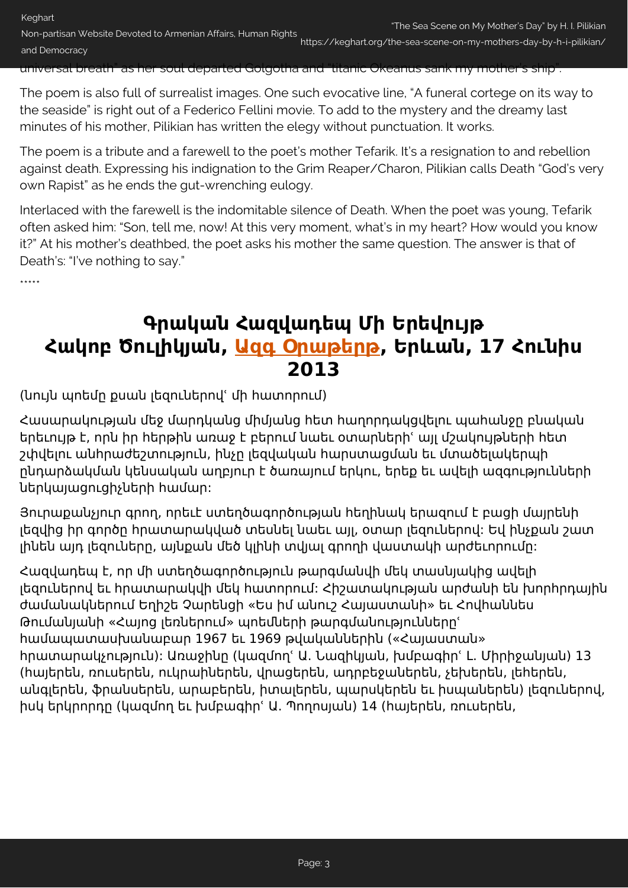The poem is also full of surrealist images. One such evocative line, "A funeral cortege on its way to the seaside" is right out of a Federico Fellini movie. To add to the mystery and the dreamy last minutes of his mother, Pilikian has written the elegy without punctuation. It works.

The poem is a tribute and a farewell to the poet's mother Tefarik. It's a resignation to and rebellion against death. Expressing his indignation to the Grim Reaper/Charon, Pilikian calls Death "God's very own Rapist" as he ends the gut-wrenching eulogy.

Interlaced with the farewell is the indomitable silence of Death. When the poet was young, Tefarik often asked him: "Son, tell me, now! At this very moment, what's in my heart? How would you know it?" At his mother's deathbed, the poet asks his mother the same question. The answer is that of Death's: "I've nothing to say."

\*\*\*\*\*

## **Գրական Հազվադեպ Մի Երեվույթ Հակոբ Ծուլիկյան, [Ազգ Օրաթերթ](http://www.azg.am/AM/culture/2013061503), Երևան, 17 Հունիս 2013**

(նույն պոեմը քսան լեզուներովՙ մի հատորում)

Հասարակության մեջ մարդկանց միմյանց հետ հաղորդակցվելու պահանջը բնական երեւույթ է, որն իր հերթին առաջ է բերում նաեւ օտարներիՙ այլ մշակույթների հետ շփվելու անհրաժեշտություն, ինչը լեզվական հարստացման եւ մտածելակերպի ընդարձակման կենսական աղբյուր է ծառայում երկու, երեք եւ ավելի ազգությունների ներկայացուցիչների համար:

Յուրաքանչյուր գրող, որեւէ ստեղծագործության հեղինակ երազում է բացի մայրենի լեզվից իր գործը հրատարակված տեսնել նաեւ այլ, օտար լեզուներով: Եվ ինչքան շատ լինեն այդ լեզուները, այնքան մեծ կլինի տվյալ գրողի վաստակի արժեւորումը:

Հազվադեպ է, որ մի ստեղծագործություն թարգմանվի մեկ տասնյակից ավելի լեզուներով եւ հրատարակվի մեկ հատորում: Հիշատակության արժանի են խորհրդային ժամանակներում Եղիշե Չարենցի «Ես իմ անուշ Հայաստանի» եւ Հովհաննես Թումանյանի «Հայոց լեռներում» պոեմների թարգմանություններըՙ համապատասխանաբար 1967 եւ 1969 թվականներին («Հայաստան» հրատարակչություն): Առաջինը (կազմողՙ Ա. Նազիկյան, խմբագիրՙ Լ. Միրիջանյան) 13 (հայերեն, ռուսերեն, ուկրաիներեն, վրացերեն, ադրբեջաներեն, չեխերեն, լեհերեն, անգլերեն, ֆրանսերեն, արաբերեն, իտալերեն, պարսկերեն եւ իսպաներեն) լեզուներով, իսկ երկրորդը (կազմող եւ խմբագիրՙ Ա. Պողոսյան) 14 (հայերեն, ռուսերեն,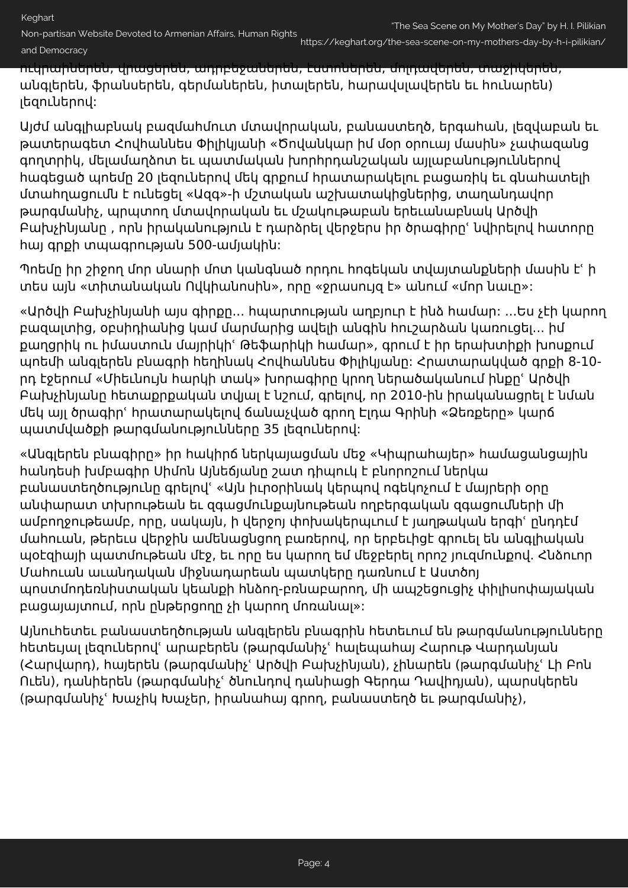https://keghart.org/the-sea-scene-on-my-mothers-day-by-h-i-pilikian/

ուկրաիներեն, վրացերեն, ադրբեջաներեն, էստոներեն, մոլդավերեն, տաջիկերեն, անգլերեն, ֆրանսերեն, գերմաներեն, իտալերեն, հարավսլավերեն եւ հունարեն) լեզուներով:

Այժմ անգլիաբնակ բազմահմուտ մտավորական, բանաստեղծ, երգահան, լեզվաբան եւ թատերագետ Հովհաննես Փիլիկյանի «Ծովանկար իմ մօր օրուայ մասին» չափազանց գողտրիկ, մելամաղձոտ եւ պատմական խորհրդանշական այլաբանություններով հագեցած պոեմը 20 լեզուներով մեկ գրքում հրատարակելու բացառիկ եւ գնահատելի մտահղացումն է ունեցել «Ազգ»-ի մշտական աշխատակիցներից, տաղանդավոր թարգմանիչ, պրպտող մտավորական եւ մշակութաբան երեւանաբնակ Արծվի Բախչինյանը , որն իրականություն է դարձրել վերջերս իր ծրագիրըՙ նվիրելով հատորը հայ գրքի տպագրության 500-ամյակին:

Պոեմը իր շիջող մոր սնարի մոտ կանգնած որդու հոգեկան տվայտանքների մասին էՙ ի տես այն «տիտանական Ովկիանոսին», որը «ջրասույզ է» անում «մոր նաւը»:

«Արծվի Բախչինյանի այս գիրքը... հպարտության աղբյուր է ինձ համար: ...Ես չէի կարող բազալտից, օբսիդիանից կամ մարմարից ավելի անգին հուշարձան կառուցել... իմ քաղցրիկ ու իմաստուն մայրիկիՙ Թեֆարիկի համար», գրում է իր երախտիքի խոսքում պոեմի անգլերեն բնագրի հեղինակ Հովհաննես Փիլիկյանը: Հրատարակված գրքի 8-10 րդ էջերում «Միեւնույն հարկի տակ» խորագիրը կրող ներածականում ինքըՙ Արծվի Բախչինյանը հետաքրքական տվյալ է նշում, գրելով, որ 2010-ին իրականացրել է նման մեկ այլ ծրագիրՙ հրատարակելով ճանաչված գրող Էլդա Գրինի «Ձեռքերը» կարճ պատմվածքի թարգմանությունները 35 լեզուներով:

«Անգլերեն բնագիրը» իր հակիրճ ներկայացման մեջ «Կիպրահայեր» համացանցային հանդեսի խմբագիր Սիմոն Այնեճյանը շատ դիպուկ է բնորոշում ներկա բանաստեղծությունը գրելովՙ «Այն իւրօրինակ կերպով ոգեկոչում է մայրերի օրը անփարատ տխրութեան եւ զգացմունքայնութեան ողբերգական զգացումների մի ամբողջութեամբ, որը, սակայն, ի վերջոյ փոխակերպւում է յաղթական երգիՙ ընդդէմ մահուան, թերեւս վերջին ամենացնցող բառերով, որ երբեւիցէ գրուել են անգլիական պօէզիայի պատմութեան մէջ, եւ որը ես կարող եմ մեջբերել որոշ յուզմունքով. Հնձուոր Մահուան աւանդական միջնադարեան պատկերը դառնում է Աստծոյ պոստմոդեռնիստական կեանքի հնձող-բռնաբարող, մի ապշեցուցիչ փիլիսոփայական բացայայտում, որն ընթերցողը չի կարող մոռանալ»:

Այնուհետեւ բանաստեղծության անգլերեն բնագրին հետեւում են թարգմանությունները հետեւյալ լեզուներովՙ արաբերեն (թարգմանիչՙ հալեպահայ Հարութ Վարդանյան (Հարվարդ), հայերեն (թարգմանիչՙ Արծվի Բախչինյան), չինարեն (թարգմանիչՙ Լի Բոն Ուեն), դանիերեն (թարգմանիչՙ ծնունդով դանիացի Գերդա Դավիդյան), պարսկերեն (թարգմանիչՙ Խաչիկ Խաչեր, իրանահայ գրող, բանաստեղծ եւ թարգմանիչ),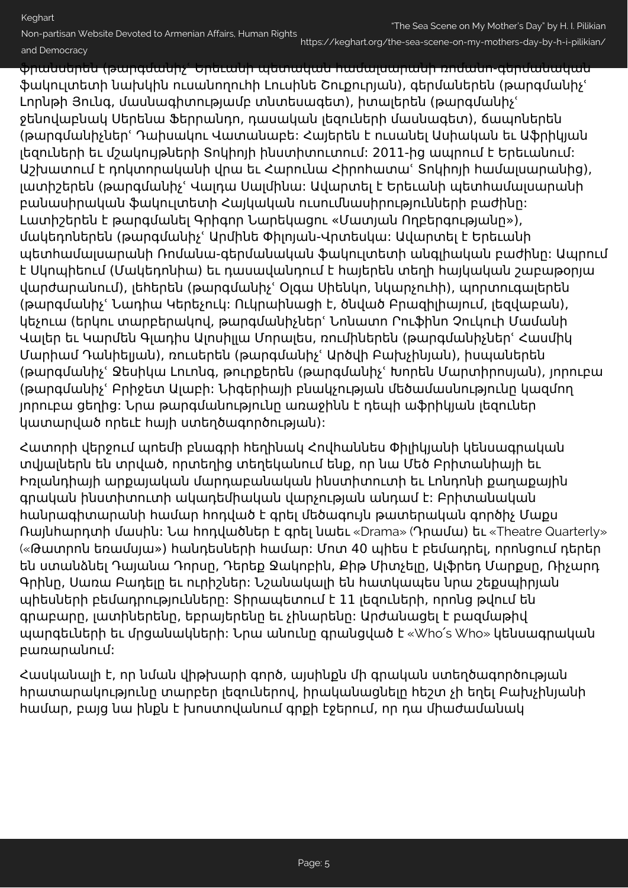https://keghart.org/the-sea-scene-on-my-mothers-day-by-h-i-pilikian/

ֆրանսերեն (թարգմանիչՙ Երեւանի պետական համալսարանի ռոմանո-գերմանական ֆակուլտետի նախկին ուսանողուհի Լուսինե Շուքուրյան), գերմաներեն (թարգմանիչՙ Լորնթի Յունգ, մասնագիտությամբ տնտեսագետ), իտալերեն (թարգմանիչՙ ջենովաբնակ Սերենա Ֆերրանդո, դասական լեզուների մասնագետ), ճապոներեն (թարգմանիչներՙ Դաիսակու Վատանաբե: Հայերեն է ուսանել Ասիական եւ Աֆրիկյան լեզուների եւ մշակույթների Տոկիոյի ինստիտուտում: 2011-ից ապրում է Երեւանում: Աշխատում է դոկտորականի վրա եւ Հարունա Հիրոհատաՙ Տոկիոյի համալսարանից), լատիշերեն (թարգմանիչՙ Վալդա Սալմինա: Ավարտել է Երեւանի պետհամալսարանի բանասիրական ֆակուլտետի Հայկական ուսումնասիրությունների բաժինը: Լատիշերեն է թարգմանել Գրիգոր Նարեկացու «Մատյան Ողբերգությանը»), մակեդոներեն (թարգմանիչՙ Արմինե Փիլոյան-Վրտեսկա: Ավարտել է Երեւանի պետհամալսարանի Ռոմանա-գերմանական ֆակուլտետի անգլիական բաժինը: Ապրում է Սկոպիեում (Մակեդոնիա) եւ դասավանդում է հայերեն տեղի հայկական շաբաթօրյա վարժարանում), լեհերեն (թարգմանիչՙ Օլգա Սիենկո, նկարչուհի), պորտուգալերեն (թարգմանիչՙ Նադիա Կերեչուկ: Ուկրաինացի է, ծնված Բրազիլիայում, լեզվաբան), կեչուա (երկու տարբերակով, թարգմանիչներՙ Նոնատո Րուֆինո Չուկուի Մամանի Վալեր եւ Կարմեն Գլադիս Ալոսիլլա Մորալես, ռումիներեն (թարգմանիչներՙ Հասմիկ Մարիամ Դանիելյան), ռուսերեն (թարգմանիչՙ Արծվի Բախչինյան), իսպաներեն (թարգմանիչՙ Ջեսիկա Լուոնգ, թուրքերեն (թարգմանիչՙ Խորեն Մարտիրոսյան), յորուբա (թարգմանիչՙ Բրիջետ Ալաբի: Նիգերիայի բնակչության մեծամասնությունը կազմող յորուբա ցեղից: Նրա թարգմանությունը առաջինն է դեպի աֆրիկյան լեզուներ կատարված որեւէ հայի ստեղծագործության):

Հատորի վերջում պոեմի բնագրի հեղինակ Հովհաննես Փիլիկյանի կենսագրական տվյալներն են տրված, որտեղից տեղեկանում ենք, որ նա Մեծ Բրիտանիայի եւ Իռլանդիայի արքայական մարդաբանական ինստիտուտի եւ Լոնդոնի քաղաքային գրական ինստիտուտի ակադեմիական վարչության անդամ է: Բրիտանական հանրագիտարանի համար հոդված է գրել մեծագույն թատերական գործիչ Մաքս Ռայնհարդտի մասին: Նա հոդվածներ է գրել նաեւ «Drama» (Դրամա) եւ «Theatre Quarterly» («Թատրոն եռամսյա») հանդեսների համար: Մոտ 40 պիես է բեմադրել, որոնցում դերեր են ստանձնել Դայանա Դորսը, Դերեք Ջակոբին, Քիթ Միտչելը, Ալֆրեդ Մարքսը, Ռիչարդ Գրինը, Սառա Բադելը եւ ուրիշներ: Նշանակալի են հատկապես նրա շեքսպիրյան պիեսների բեմադրությունները: Տիրապետում է 11 լեզուների, որոնց թվում են գրաբարը, լատիներենը, եբրայերենը եւ չինարենը: Արժանացել է բազմաթիվ պարգեւների եւ մրցանակների: Նրա անունը գրանցված է «Who՛s Who» կենսագրական բառարանում:

Հասկանալի է, որ նման վիթխարի գործ, այսինքն մի գրական ստեղծագործության հրատարակությունը տարբեր լեզուներով, իրականացնելը հեշտ չի եղել Բախչինյանի համար, բայց նա ինքն է խոստովանում գրքի էջերում, որ դա միաժամանակ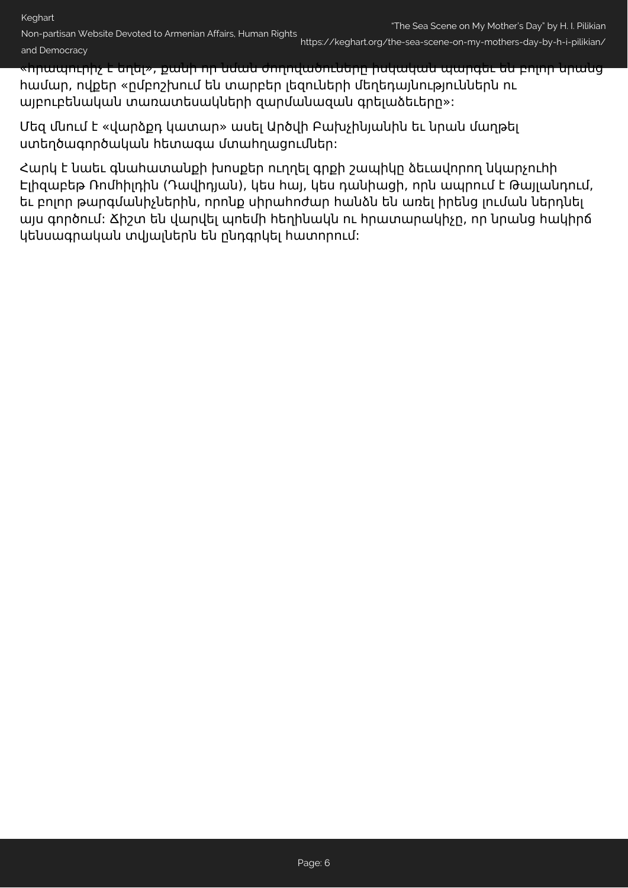Non-partisan Website Devoted to Armenian Affairs, Human Rights https://keghart.org/the-sea-scene-on-my-mothers-day-by-h-i-pilikian/ and Democracy

«հրապուրիչ է եղել», քանի որ նման ժողովածուները իսկական պարգեւ են բոլոր նրանց համար, ովքեր «ըմբոշխում են տարբեր լեզուների մեղեդայնություններն ու այբուբենական տառատեսակների զարմանազան գրելաձեւերը»:

Մեզ մնում է «վարձքդ կատար» ասել Արծվի Բախչինյանին եւ նրան մաղթել ստեղծագործական հետագա մտահղացումներ:

Հարկ է նաեւ գնահատանքի խոսքեր ուղղել գրքի շապիկը ձեւավորող նկարչուհի Էլիզաբեթ Ռոմհիլդին (Դավիդյան), կես հայ, կես դանիացի, որն ապրում է Թայլանդում, եւ բոլոր թարգմանիչներին, որոնք սիրահոժար հանձն են առել իրենց լուման ներդնել այս գործում: Ճիշտ են վարվել պոեմի հեղինակն ու հրատարակիչը, որ նրանց հակիրճ կենսագրական տվյալներն են ընդգրկել հատորում: